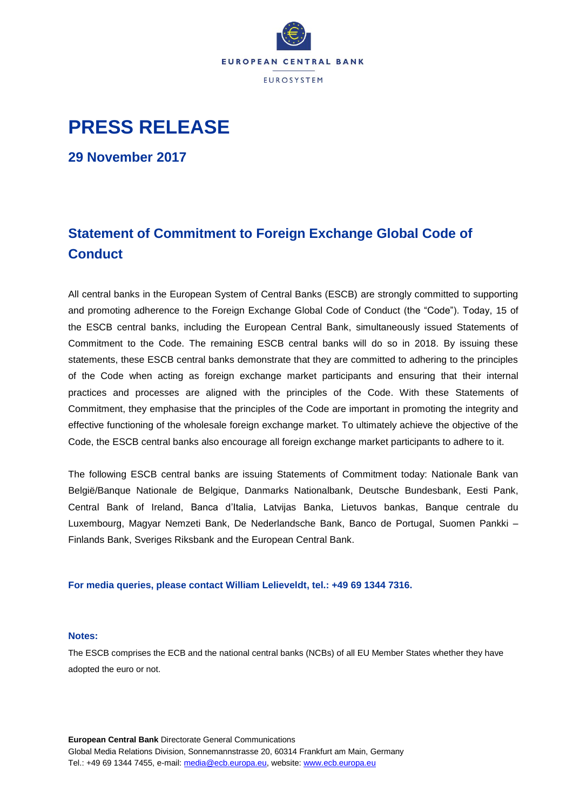

## **PRESS RELEASE**

**29 November 2017**

## **Statement of Commitment to Foreign Exchange Global Code of Conduct**

All central banks in the European System of Central Banks (ESCB) are strongly committed to supporting and promoting adherence to the Foreign Exchange Global Code of Conduct (the "Code"). Today, 15 of the ESCB central banks, including the European Central Bank, simultaneously issued Statements of Commitment to the Code. The remaining ESCB central banks will do so in 2018. By issuing these statements, these ESCB central banks demonstrate that they are committed to adhering to the principles of the Code when acting as foreign exchange market participants and ensuring that their internal practices and processes are aligned with the principles of the Code. With these Statements of Commitment, they emphasise that the principles of the Code are important in promoting the integrity and effective functioning of the wholesale foreign exchange market. To ultimately achieve the objective of the Code, the ESCB central banks also encourage all foreign exchange market participants to adhere to it.

The following ESCB central banks are issuing Statements of Commitment today: Nationale Bank van België/Banque Nationale de Belgique, Danmarks Nationalbank, Deutsche Bundesbank, Eesti Pank, Central Bank of Ireland, Banca d'Italia, Latvijas Banka, Lietuvos bankas, Banque centrale du Luxembourg, Magyar Nemzeti Bank, De Nederlandsche Bank, Banco de Portugal, Suomen Pankki – Finlands Bank, Sveriges Riksbank and the European Central Bank.

**For media queries, please contact William Lelieveldt, tel.: +49 69 1344 7316.**

## **Notes:**

The ESCB comprises the ECB and the national central banks (NCBs) of all EU Member States whether they have adopted the euro or not.